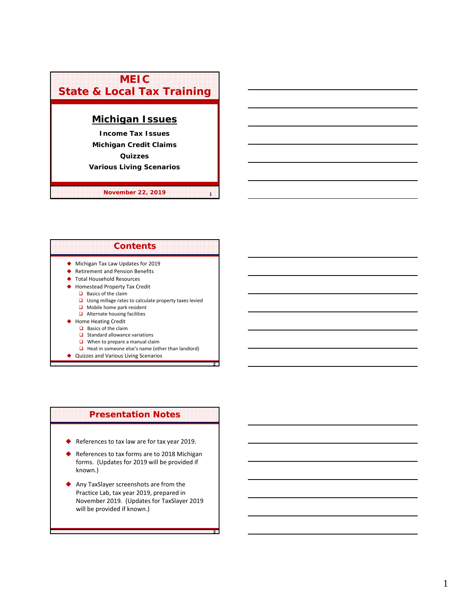

**November 22, 2019 <sup>1</sup>**



**2**

**3**

## ◆ Quizzes and Various Living Scenarios

# **Presentation Notes**

- ◆ References to tax law are for tax year 2019.
- References to tax forms are to 2018 Michigan forms. (Updates for 2019 will be provided if known.)
- Any TaxSlayer screenshots are from the Practice Lab, tax year 2019, prepared in November 2019. (Updates for TaxSlayer 2019 will be provided if known.)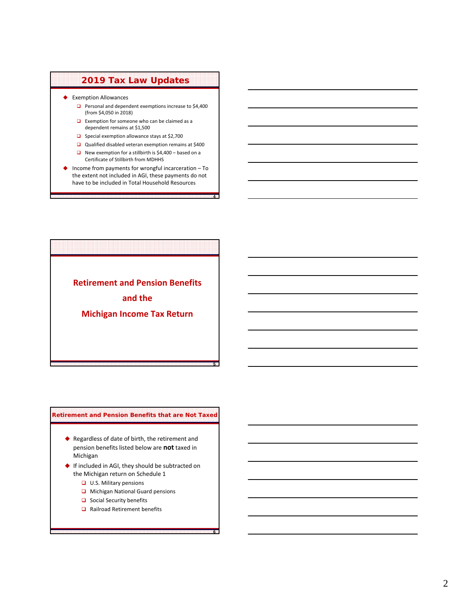# **2019 Tax Law Updates**

- ◆ Exemption Allowances
	- **Personal and dependent exemptions increase to \$4,400** (from \$4,050 in 2018)
	- $\Box$  Exemption for someone who can be claimed as a dependent remains at \$1,500
	- $\Box$  Special exemption allowance stays at \$2,700
	- Qualified disabled veteran exemption remains at \$400
	- New exemption for a stillbirth is  $$4,400 -$  based on a Certificate of Stillbirth from MDHHS
- Income from payments for wrongful incarceration To the extent not included in AGI, these payments do not have to be included in Total Household Resources

**4**

**5**

**6**

**Retirement and Pension Benefits and the Michigan Income Tax Return**

# **Retirement and Pension Benefits that are Not Taxed**

- ◆ Regardless of date of birth, the retirement and pension benefits listed below are **not** taxed in Michigan
- If included in AGI, they should be subtracted on the Michigan return on Schedule 1
	- **U.S. Military pensions**
	- **Q** Michigan National Guard pensions
	- $\Box$  Social Security benefits
	- Railroad Retirement benefits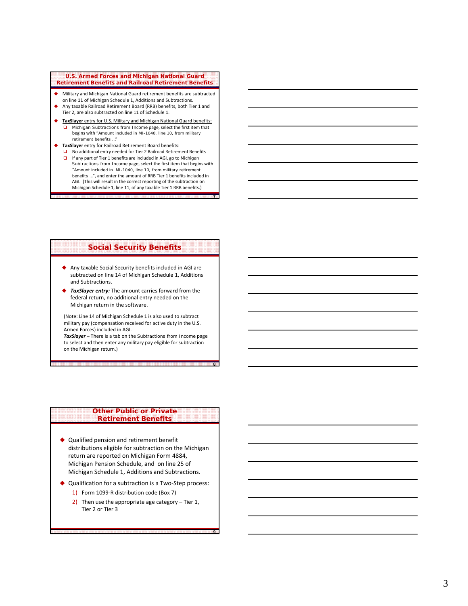### **U.S. Armed Forces and Michigan National Guard Retirement Benefits and Railroad Retirement Benefits**

- Military and Michigan National Guard retirement benefits are subtracted
- on line 11 of Michigan Schedule 1, Additions and Subtractions.
- Any taxable Railroad Retirement Board (RRB) benefits, both Tier 1 and Tier 2, are also subtracted on line 11 of Schedule 1.
	- **TaxSlayer** entry for U.S. Military and Michigan National Guard benefits: *Michigan Subtractions from Income* page, select the first item that begins with "Amount included in MI-1040, line 10, from military retirement benefits …"
- **TaxSlayer** entry for Railroad Retirement Board benefits:
	- No additional entry needed for Tier 2 Railroad Retirement Benefits
	- If any part of Tier 1 benefits are included in AGI, go to *Michigan Subtractions from Income* page, select the first item that begins with "Amount included in MI-1040, line 10, from military retirement benefits …", and enter the amount of RRB Tier 1 benefits included in AGI. (This will result in the correct reporting of the subtraction on Michigan Schedule 1, line 11, of any taxable Tier 1 RRB benefits.)

**7**

**8**

**9**

# **Social Security Benefits**

- Any taxable Social Security benefits included in AGI are subtracted on line 14 of Michigan Schedule 1, Additions and Subtractions.
- *TaxSlayer entry:* The amount carries forward from the federal return, no additional entry needed on the Michigan return in the software.

(Note: Line 14 of Michigan Schedule 1 is also used to subtract military pay (compensation received for active duty in the U.S. Armed Forces) included in AGI.

*TaxSlayer –* There is a tab on the *Subtractions from Income* page to select and then enter any military pay eligible for subtraction on the Michigan return.)

# **Other Public or Private Retirement Benefits**

- ◆ Qualified pension and retirement benefit distributions eligible for subtraction on the Michigan return are reported on Michigan Form 4884, Michigan Pension Schedule, and on line 25 of Michigan Schedule 1, Additions and Subtractions.
- ◆ Qualification for a subtraction is a Two-Step process:
	- 1) Form 1099-R distribution code (Box 7)
	- 2) Then use the appropriate age category Tier 1, Tier 2 or Tier 3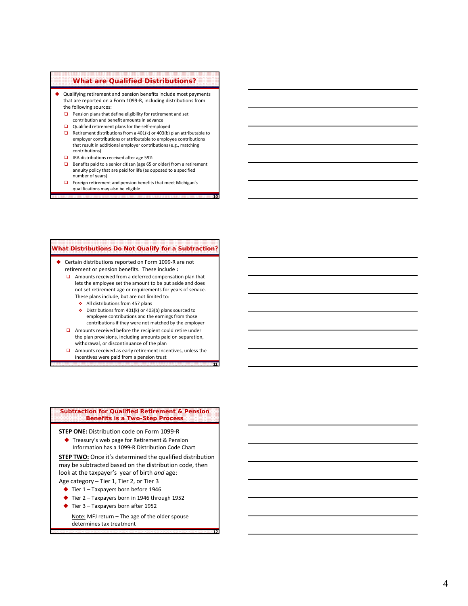# **What are Qualified Distributions?**

- Qualifying retirement and pension benefits include most payments that are reported on a Form 1099 ‐R, including distributions from the following sources:
	- $\Box$  Pension plans that define eligibility for retirement and set contribution and benefit amounts in advance
	- □ Qualified retirement plans for the self-employed
	- $\Box$  Retirement distributions from a 401(k) or 403(b) plan attributable to employer contributions or attributable to employee contributions that result in additional employer contributions (e.g., matching contributions)
	- IRA distributions received after age 59½
	- **■** Benefits paid to a senior citizen (age 65 or older) from a retirement annuity policy that are paid for life (as opposed to a specified number of years)

**10**

**11**

**12**

 $\Box$  Foreign retirement and pension benefits that meet Michigan's qualifications may also be eligible

### **What Distributions Do Not Qualify for a Subtraction?**

- ◆ Certain distributions reported on Form 1099-R are not retirement or pension benefits. These include **:**
	- **□** Amounts received from a deferred compensation plan that lets the employee set the amount to be put aside and does not set retirement age or requirements for years of service. These plans include, but are not limited to:
		- $\triangleleft$  All distributions from 457 plans
		- $\div$  Distributions from 401(k) or 403(b) plans sourced to employee contributions and the earnings from those contributions if they were not matched by the employer
	- $\Box$  Amounts received before the recipient could retire under the plan provisions, including amounts paid on separation, withdrawal, or discontinuance of the plan
	- $\Box$  Amounts received as early retirement incentives, unless the incentives were paid from a pension trust

#### **Subtraction for Qualified Retirement & Pension Benefits is a Two-Step Process**

**STEP ONE:** Distribution code on Form 1099 ‐ R

◆ Treasury's web page for Retirement & Pension Information has a 1099 ‐ R Distribution Code Chart

**STEP TWO:** Once it's determined the qualified distribution may be subtracted based on the distribution code, then look at the taxpayer's year of birth *and* age: Age category – Tier 1, Tier 2, or Tier 3

- ◆ Tier 1 Taxpayers born before 1946
- ◆ Tier 2 Taxpayers born in 1946 through 1952
- ◆ Tier 3 Taxpayers born after 1952

Note: MFJ return – The age of the older spouse determines tax treatment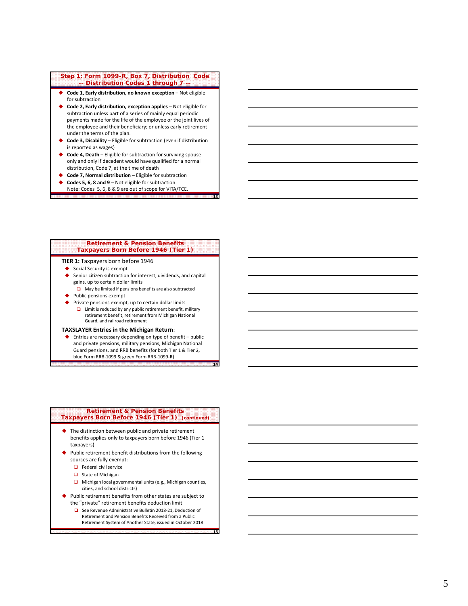### **Step 1: Form 1099-R, Box 7, Distribution Code -- Distribution Codes 1 through 7 --**

- **Code 1, Early distribution, no known exception** Not eligible for subtraction
- **Code 2, Early distribution, exception applies** Not eligible for subtraction unless part of a series of mainly equal periodic payments made for the life of the employee or the joint lives of the employee and their beneficiary; or unless early retirement under the terms of the plan.
- **Code 3, Disability** Eligible for subtraction (even if distribution is reported as wages)
- **Code 4, Death** Eligible for subtraction for surviving spouse only and only if decedent would have qualified for a normal distribution, Code 7, at the time of death
- **Code 7, Normal distribution** Eligible for subtraction
- **Codes 5, 6, 8 and 9** Not eligible for subtraction.
- Note: Codes 5, 6, 8 & 9 are out of scope for VITA/TCE.

#### **Retirement & Pension Benefits Taxpayers Born Before 1946 (Tier 1)**

**13**

**14**

**15**

#### **TIER 1:** Taxpayers born before 1946

- Social Security is exempt
- Senior citizen subtraction for interest, dividends, and capital gains, up to certain dollar limits
- $\Box$  May be limited if pensions benefits are also subtracted
- ◆ Public pensions exempt
- Private pensions exempt, up to certain dollar limits
	- $\Box$  Limit is reduced by any public retirement benefit, military retirement benefit, retirement from Michigan National Guard, and railroad retirement

#### **TAXSLAYER Entries in the Michigan Return** :

◆ Entries are necessary depending on type of benefit – public and private pensions, military pensions, Michigan National Guard pensions, and RRB benefits (for both Tier 1 & Tier 2, blue Form RRB-1099 & green Form RRB-1099-R)

#### **Retirement & Pension Benefits Taxpayers Born Before 1946 (Tier 1) (continued)**

- ◆ The distinction between public and private retirement benefits applies only to taxpayers born before 1946 (Tier 1 taxpayers)
- Public retirement benefit distributions from the following sources are fully exempt:
	- $\Box$  Federal civil service
	- State of Michigan
	- $\Box$  Michigan local governmental units (e.g., Michigan counties, cities, and school districts)
- Public retirement benefits from other states are subject to the "private" retirement benefits deduction limit
	- See Revenue Administrative Bulletin 2018-21, Deduction of Retirement and Pension Benefits Received from a Public Retirement System of Another State, issued in October 2018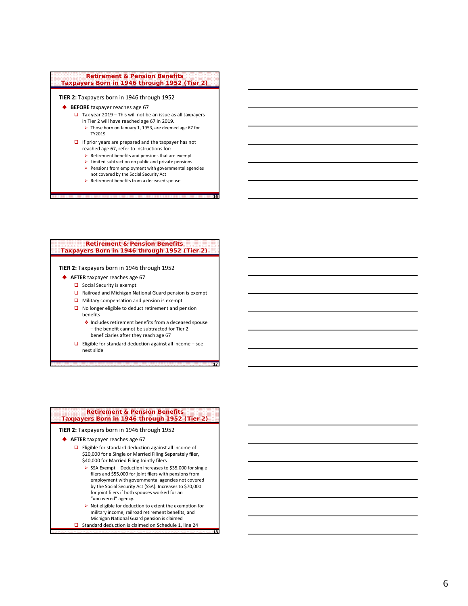# **- - Retirement & Pension Benefits Taxpayers Born in 1946 through 1952 (Tier 2)**

### **TIER 2:** Taxpayers born in 1946 through 1952

- ◆ **BEFORE** taxpayer reaches age 67
	- $\Box$  Tax year 2019 This will not be an issue as all taxpayers in Tier 2 will have reached age 67 in 2019.
		- Those born on January 1, 1953, are deemed age 67 for TY2019
	- $\Box$  If prior years are prepared and the taxpayer has not reached age 67, refer to instructions for:
		- $\triangleright$  Retirement benefits and pensions that are exempt
		- $\triangleright$  Limited subtraction on public and private pensions
		- $\triangleright$  Pensions from employment with governmental agencies

**16**

**17**

**18**

- not covered by the Social Security Act
- ▶ Retirement benefits from a deceased spouse

## **Retirement & Pension Benefits Taxpayers Born in 1946 through 1952 (Tier 2)**

#### **TIER 2:** Taxpayers born in 1946 through 1952

- **AFTER** taxpayer reaches age 67
	- $\Box$  Social Security is exempt
	- **□** Railroad and Michigan National Guard pension is exempt
	- $\Box$  Military compensation and pension is exempt
	- No longer eligible to deduct retirement and pension benefits
		- ◆ Includes retirement benefits from a deceased spouse – the benefit cannot be subtracted for Tier 2
	- beneficiaries after they reach age 67 **Eligible for standard deduction against all income – see**
	- next slide

#### **Retirement & Pension Benefits Taxpayers Born in 1946 through 1952 (Tier 2)**

#### **TIER 2:** Taxpayers born in 1946 through 1952

- **AFTER** taxpayer reaches age 67
	- □ Eligible for standard deduction against all income of \$20,000 for a Single or Married Filing Separately filer, \$40,000 for Married Filing Jointly filers
- $\triangleright$  SSA Exempt Deduction increases to \$35,000 for single filers and \$55,000 for joint filers with pensions from employment with governmental agencies not covered by the Social Security Act (SSA). Increases to \$70,000 for joint filers if both spouses worked for an "uncovered" agency. **Retirement & Pension Benefits**<br> **Spayers Born in 1946 through 1952 (Tier**<br> **CERT:** Taxpayers born in 1946 through 1952<br> **FTER** taxpayer reaches age 67<br> **CERT:** Taxpayer reaches age 67<br> **CERT:**  $\sqrt{20,000}$  for a Single or
	- $\blacktriangleright$  Not eligible for deduction to extent the exemption for military income, railroad retirement benefits, and
	- Michigan National Guard pension is claimed<br> **Q** Standard deduction is claimed on Schedule 1, line 24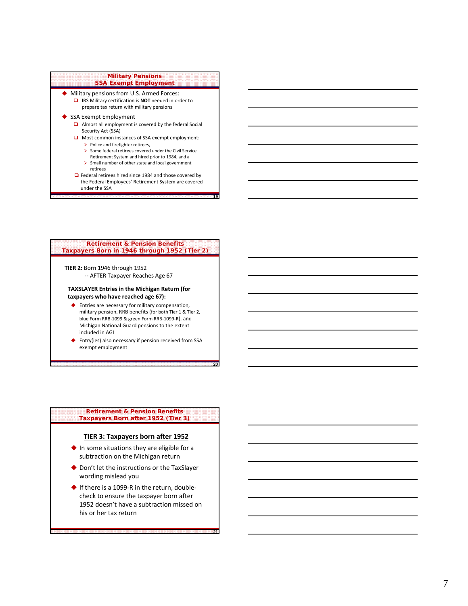## **Military Pensions SSA Exempt Employment**

- Military pensions from U.S. Armed Forces:
	- IRS Military certification is **NOT** needed in order to prepare tax return with military pensions
- SSA Exempt Employment
	- Almost all employment is covered by the federal Social Security Act (SSA)
	- $\Box$  Most common instances of SSA exempt employment:  $\triangleright$  Police and firefighter retirees,
		- $\blacktriangleright$  Some federal retirees covered under the Civil Service
		- Retirement System and hired prior to 1984, and a
		- $\triangleright$  Small number of other state and local government retirees
	- □ Federal retirees hired since 1984 and those covered by the Federal Employees' Retirement System are covered under the SSA

**19**

**20**

**21**

### **Retirement & Pension Benefits Taxpayers Born in 1946 through 1952 (Tier 2)**

**TIER 2:** Born 1946 through 1952 ‐‐ AFTER Taxpayer Reaches Age 67

### **TAXSLAYER Entries in the Michigan Return (for taxpayers who have reached age 67):**

- ◆ Entries are necessary for military compensation, military pension, RRB benefits (for both Tier 1 & Tier 2, blue Form RRB ‐1099 & green Form RRB ‐1099 ‐ R), and Michigan National Guard pensions to the extent included in AGI
- Entry(ies) also necessary if pension received from SSA exempt employment

#### **Retirement & Pension Benefits Taxpayers Born after 1952 (Tier 3)**

# **TIER 3: Taxpayers born after 1952**

- ◆ In some situations they are eligible for a subtraction on the Michigan return
- ◆ Don't let the instructions or the TaxSlayer wording mislead you
- ◆ If there is a 1099-R in the return, doublecheck to ensure the taxpayer born after 1952 doesn't have a subtraction missed on his or her tax return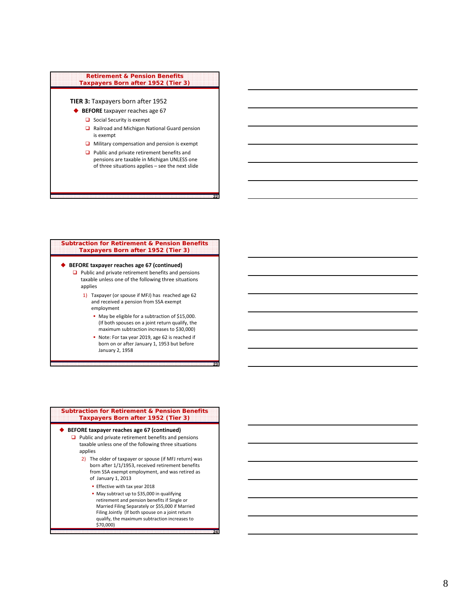# **Retirement & Pension Benefits Taxpayers Born after 1952 (Tier 3)**

# **TIER 3:** Taxpayers born after 1952

- ◆ **BEFORE** taxpayer reaches age 67
	- $\Box$  Social Security is exempt
	- Railroad and Michigan National Guard pension is exempt
	- $\Box$  Military compensation and pension is exempt
- **Q** Public and private retirement benefits and pensions are taxable in Michigan UNLESS one<br>of three situations applies – see the next slide **Example 18 Allen Periors Penefits**<br> **Expansion after 1952 (Tier 3)**<br> **Expansion after 1952**<br> **Social Security is exempt<br>
Railroad and Michigan National Guard pension<br>
is exempt<br>
Military compensation and pension is exempt**

**22**

**23**

**24**

## **- Subtraction for Retirement & Pension Benefits Taxpayers Born after 1952 (Tier 3)**

## **BEFORE taxpayer reaches age 67 (continued)**

- $\Box$  Public and private retirement benefits and pensions taxable unless one of the following three situations applies
	- 1) Taxpayer (or spouse if MFJ) has reached age 62 and received a pension from SSA exempt employment
		- May be eligible for a subtraction of \$15,000. (If both spouses on a joint return qualify, the maximum subtraction increases to \$30,000)
		- Note: For tax year 2019, age 62 is reached if born on or after January 1, 1953 but before January 2, 1958

| <b>Subtraction for Retirement &amp; Pension Benefits</b><br>Taxpayers Born after 1952 (Tier 3) |                                                                                                                                                                                     |  |  |  |
|------------------------------------------------------------------------------------------------|-------------------------------------------------------------------------------------------------------------------------------------------------------------------------------------|--|--|--|
|                                                                                                | BEFORE taxpayer reaches age 67 (continued)                                                                                                                                          |  |  |  |
|                                                                                                | $\Box$ Public and private retirement benefits and pensions                                                                                                                          |  |  |  |
|                                                                                                | taxable unless one of the following three situations<br>applies                                                                                                                     |  |  |  |
|                                                                                                | 2) The older of taxpayer or spouse (if MFJ return) was<br>born after 1/1/1953, received retirement benefits<br>from SSA exempt employment, and was retired as<br>of January 1, 2013 |  |  |  |
|                                                                                                | Effective with tax year 2018                                                                                                                                                        |  |  |  |
|                                                                                                | • May subtract up to \$35,000 in qualifying                                                                                                                                         |  |  |  |

retirement and pension benefits if Single or Married Filing Separately or \$55,000 if Married Filing Jointly (If both spouse on a joint return qualify, the maximum subtraction increases to \$70,000)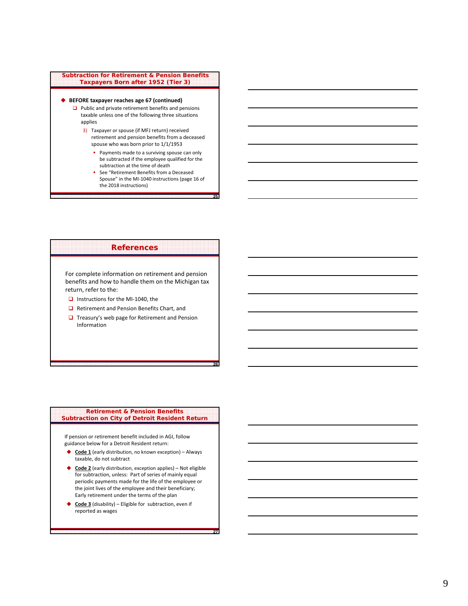

# **References**

For complete information on retirement and pension benefits and how to handle them on the Michigan tax return, refer to the:

- Instructions for the MI‐1040, the
- Retirement and Pension Benefits Chart, and
- $\Box$  Treasury's web page for Retirement and Pension Information

**26**

**27**

## **Retirement & Pension Benefits Subtraction on City of Detroit Resident Return**

If pension or retirement benefit included in AGI, follow guidance below for a Detroit Resident return:

- **Code 1** (early distribution, no known exception) Always taxable, do not subtract
- ◆ **Code 2** (early distribution, exception applies) Not eligible for subtraction, unless: Part of series of mainly equal periodic payments made for the life of the employee or the joint lives of the employee and their beneficiary; Early retirement under the terms of the plan
- ◆ Code 3 (disability) Eligible for subtraction, even if reported as wages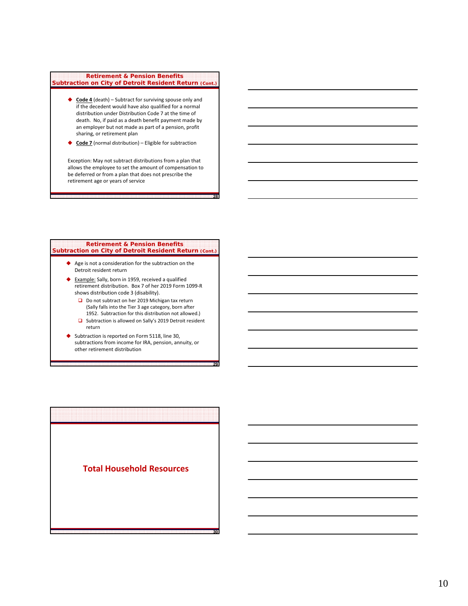#### **Retirement & Pension Benefits Subtraction on City of Detroit Resident Return (Cont.)**

- ◆ Code 4 (death) Subtract for surviving spouse only and if the decedent would have also qualified for a normal distribution under Distribution Code 7 at the time of death. No, if paid as a death benefit payment made by an employer but not made as part of a pension, profit sharing, or retirement plan
- ◆ **Code 7** (normal distribution) Eligible for subtraction

Exception: May not subtract distributions from a plan that allows the employee to set the amount of compensation to be deferred or from a plan that does not prescribe the retirement age or years of service

**28**

**29**

**30**

#### **Retirement & Pension Benefits Subtraction on City of Detroit Resident Return (Cont.)**

- Age is not a consideration for the subtraction on the Detroit resident return
- ◆ Example: Sally, born in 1959, received a qualified retirement distribution. Box 7 of her 2019 Form 1099‐R shows distribution code 3 (disability).
	- Do not subtract on her 2019 Michigan tax return (Sally falls into the Tier 3 age category, born after 1952. Subtraction for this distribution not allowed.)
	- □ Subtraction is allowed on Sally's 2019 Detroit resident return
- Subtraction is reported on Form 5118, line 30, subtractions from income for IRA, pension, annuity, or other retirement distribution

**Total Household Resources**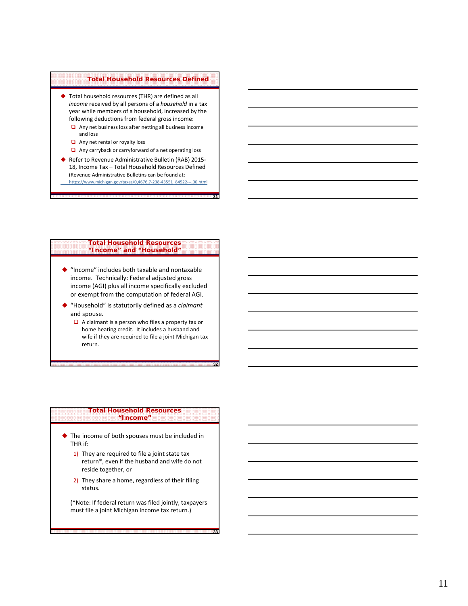# **Total Household Resources Defined**

- ◆ Total household resources (THR) are defined as all *income* received by all persons of a *household* in a tax year while members of a household, increased by the following deductions from federal gross income:
	- $\Box$  Any net business loss after netting all business income and loss
	- $\Box$  Any net rental or royalty loss
	- Any carryback or carryforward of a net operating loss
- ◆ Refer to Revenue Administrative Bulletin (RAB) 2015-18, Income Tax – Total Household Resources Defined (Revenue Administrative Bulletins can be found at: https://www.michigan.gov/taxes/0,4676,7‐238‐43551\_84522‐‐‐,00.html

**31**

**32**

**33**

# **Total Household Resources "Income" and "Household"**

- "Income" includes both taxable and nontaxable income. Technically: Federal adjusted gross income (AGI) plus all income specifically excluded or exempt from the computation of federal AGI.
- "Household" is statutorily defined as a *claimant* and spouse.
	- $\Box$  A claimant is a person who files a property tax or home heating credit. It includes a husband and wife if they are required to file a joint Michigan tax return.

### **Total Household Resources "Income"**

- ◆ The income of both spouses must be included in THR if:
	- 1) They are required to file a joint state tax return\*, even if the husband and wife do not reside together, or
	- 2) They share a home, regardless of their filing status.

(\*Note: If federal return was filed jointly, taxpayers must file a joint Michigan income tax return.)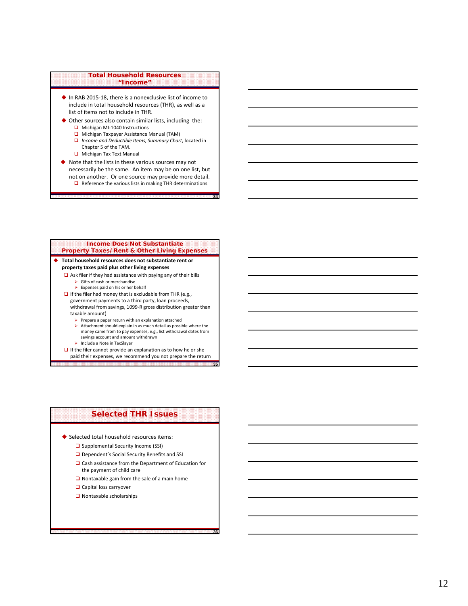# **Total Household Resources "Income"**

- ◆ In RAB 2015-18, there is a nonexclusive list of income to include in total household resources (THR), as well as a list of items not to include in THR.
- Other sources also contain similar lists, including the:
	- Michigan MI-1040 Instructions
	- **u** Michigan Taxpayer Assistance Manual (TAM)
	- *Income and Deductible Items, Summary Chart*, located in Chapter 5 of the TAM.
	- **Michigan Tax Text Manual**
- $\blacklozenge$  Note that the lists in these various sources may not necessarily be the same. An item may be on one list, but not on another. Or one source may provide more detail.  $\Box$  Reference the various lists in making THR determinations

**34**

**35**

**36**

#### **Income Does Not Substantiate Property Taxes/Rent & Other Living Expenses**

# **Total household resources does not substantiate rent or property taxes paid plus other living expenses**

- $\Box$  Ask filer if they had assistance with paying any of their bills  $\triangleright$  Gifts of cash or merchandise
	- $\triangleright$  Expenses paid on his or her behalf
- $\Box$  If the filer had money that is excludable from THR (e.g., government payments to a third party, loan proceeds, withdrawal from savings, 1099‐R gross distribution greater than taxable amount)
	- $\triangleright$  Prepare a paper return with an explanation attached
	- $\triangleright$  Attachment should explain in as much detail as possible where the money came from to pay expenses, e.g., list withdrawal dates from savings account and amount withdrawn
	- > Include a Note in TaxSlayer
- $\Box$  If the filer cannot provide an explanation as to how he or she paid their expenses, we recommend you not prepare the return

# **Selected THR Issues**

Selected total household resources items:

- □ Supplemental Security Income (SSI)
- Dependent's Social Security Benefits and SSI
- □ Cash assistance from the Department of Education for the payment of child care
- $\Box$  Nontaxable gain from the sale of a main home
- **Q** Capital loss carryover
- Nontaxable scholarships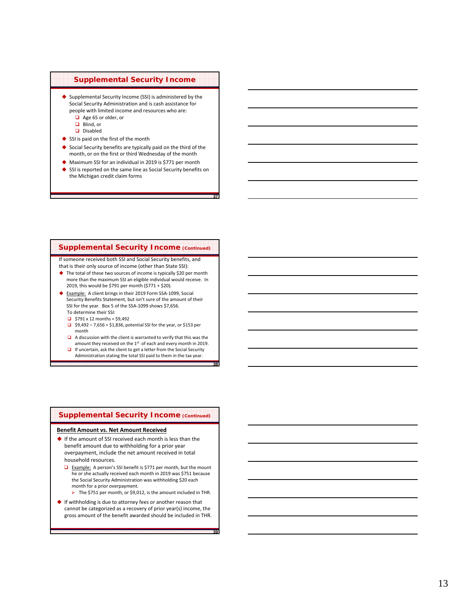# **Supplemental Security Income**

- Supplemental Security Income (SSI) is administered by the Social Security Administration and is cash assistance for people with limited income and resources who are:
	- Age 65 or older, or
	- Blind, or Disabled
	-
- SSI is paid on the first of the month
- ◆ Social Security benefits are typically paid on the third of the month, or on the first or third Wednesday of the month
- ◆ Maximum SSI for an individual in 2019 is \$771 per month
- SSI is reported on the same line as Social Security benefits on the Michigan credit claim forms

**37**

**38**

**39**

# **Supplemental Security Income (Continued)**

If someone received both SSI and Social Security benefits, and that is their only source of income (other than State SSI):

- ◆ The total of these two sources of income is typically \$20 per month more than the maximum SSI an eligible individual would receive. In 2019, this would be \$791 per month (\$771 + \$20).
- ◆ Example: A client brings in their 2019 Form SSA-1099, Social Security Benefits Statement, but isn't sure of the amount of their SSI for the year. Box 5 of the SSA ‐1099 shows \$7,656. To determine their SSI:
	- $\Box$  \$791 x 12 months = \$9.492
	- $\Box$  \$9,492 7,656 = \$1,836, potential SSI for the year, or \$153 per month
	- $\Box$  A discussion with the client is warranted to verify that this was the
	- amount they received on the  $1<sup>st</sup>$  of each and every month in 2019.
	- □ If uncertain, ask the client to get a letter from the Social Security Administration stating the total SSI paid to them in the tax year.

# **Supplemental Security Income (Continued)**

### **Benefit Amount vs. Net Amount Received**

- ◆ If the amount of SSI received each month is less than the benefit amount due to withholding for a prior year overpayment, include the net amount received in total household resources.
	- □ Example: A person's SSI benefit is \$771 per month, but the mount he or she actually received each month in 2019 was \$751 because the Social Security Administration was withholding \$20 each month for a prior overpayment.
	- The \$751 per month, or \$9,012, is the amount included in THR.
- ◆ If withholding is due to attorney fees or another reason that cannot be categorized as a recovery of prior year(s) income, the gross amount of the benefit awarded should be included in THR.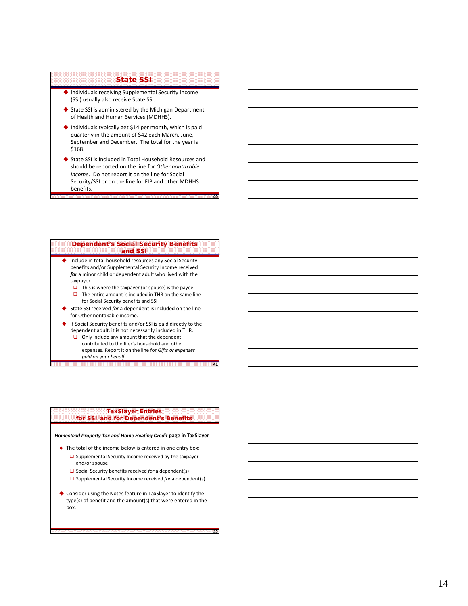# **State SSI**

- Individuals receiving Supplemental Security Income (SSI) usually also receive State SSI.
- ◆ State SSI is administered by the Michigan Department of Health and Human Services (MDHHS).
- $\blacklozenge$  Individuals typically get \$14 per month, which is paid quarterly in the amount of \$42 each March, June, September and December. The total for the year is \$168.
- ◆ State SSI is included in Total Household Resources and should be reported on the line for *Other nontaxable income* . Do not report it on the line for Social Security/SSI or on the line for FIP and other MDHHS benefits.

**40**

**41**

**42**

#### **Dependent's Social Security Benefits and SSI**

- ◆ Include in total household resources any Social Security benefits and/or Supplemental Security Income received *for* a minor child or dependent adult who lived with the taxpayer.
	- $\Box$  This is where the taxpayer (or spouse) is the payee  $\Box$  The entire amount is included in THR on the same line
	- for Social Security benefits and SSI
- ◆ State SSI received *for* a dependent is included on the line for Other nontaxable income.
- If Social Security benefits and/or SSI is paid directly to the dependent adult, it is not necessarily included in THR.
	- Only include any amount that the dependent contributed to the filer's household and other expenses. Report it on the line for *Gifts or expenses paid on your behalf*.

### **TaxSlayer Entries for SSI and for Dependent's Benefits**

*Homestead Property Tax and Home Heating Credit* **page in TaxSlayer**

- $\blacklozenge$  The total of the income below is entered in one entry box:
	- $\Box$  Supplemental Security Income received by the taxpayer and/or spouse
	- **□** Social Security benefits received *for* a dependent(s)
	- **□** Supplemental Security Income received for a dependent(s)
- Consider using the Notes feature in TaxSlayer to identify the type(s) of benefit and the amount(s) that were entered in the box.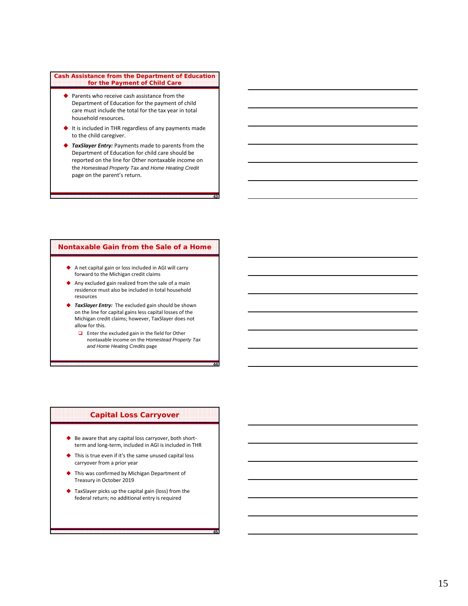#### **Cash Assistance from the Department of Education for the Payment of Child Care**

- ◆ Parents who receive cash assistance from the Department of Education for the payment of child care must include the total for the tax year in total household resources.
- ◆ It is included in THR regardless of any payments made to the child caregiver.
- ◆ *TaxSlayer Entry:* Payments made to parents from the Department of Education for child care should be reported on the line for Other nontaxable income on the *Homestead Property Tax and Home Heating Credit* page on the parent's return.

**43**

**44**

**45**

# **Nontaxable Gain from the Sale of a Home**

- A net capital gain or loss included in AGI will carry forward to the Michigan credit claims
- Any excluded gain realized from the sale of a main residence must also be included in total household resources
- ◆ *TaxSlayer Entry:* The excluded gain should be shown on the line for capital gains less capital losses of the Michigan credit claims; however, TaxSlayer does not allow for this.
	- **Enter the excluded gain in the field for Other** nontaxable income on the *Homestead Property Tax and Home Heating Credits* page

# **Capital Loss Carryover**

- ◆ Be aware that any capital loss carryover, both shortterm and long-term, included in AGI is included in THR
- ◆ This is true even if it's the same unused capital loss carryover from a prior year
- This was confirmed by Michigan Department of Treasury in October 2019
- TaxSlayer picks up the capital gain (loss) from the federal return; no additional entry is required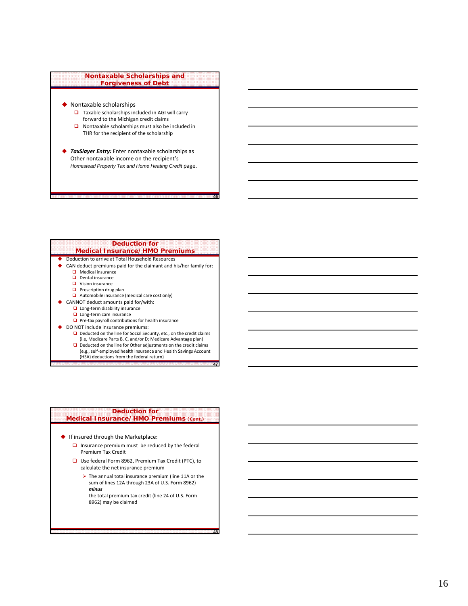## **Nontaxable Scholarships and Forgiveness of Debt**

- ◆ Nontaxable scholarships
	- $\Box$  Taxable scholarships included in AGI will carry forward to the Michigan credit claims
	- $\Box$  Nontaxable scholarships must also be included in THR for the recipient of the scholarship
- ◆ *TaxSlayer Entry:* Enter nontaxable scholarships as Other nontaxable income on the recipient's *Homestead Property Tax and Home Heating Credit* page.

# **Deduction for**

**46**

**47**

**48**

- **Medical Insurance/HMO Premiums** ◆ Deduction to arrive at Total Household Resources
- CAN deduct premiums paid for the claimant and his/her family for:
	- $\Box$  Medical insurance
	- Dental insurance
	- **D** Vision insurance
	- $\Box$  Prescription drug plan
	- Automobile insurance (medical care cost only)
- CANNOT deduct amounts paid for/with:
	- Long-term disability insurance
	- $\Box$  Long-term care insurance
	- $\Box$  Pre-tax payroll contributions for health insurance
- ◆ DO NOT include insurance premiums:
	- $\Box$  Deducted on the line for Social Security, etc., on the credit claims (i.e, Medicare Parts B, C, and/or D; Medicare Advantage plan)
	- $\Box$  Deducted on the line for Other adjustments on the credit claims
	- (e.g., self‐employed health insurance and Health Savings Account
	- (HSA) deductions from the federal return)

### **Deduction for Medical Insurance/HMO Premiums (Cont.)**

- If insured through the Marketplace:
	- $\Box$  Insurance premium must be reduced by the federal Premium Tax Credit
	- Use federal Form 8962, Premium Tax Credit (PTC), to calculate the net insurance premium
		- The annual total insurance premium (line 11A or the sum of lines 12A through 23A of U.S. Form 8962) *minus*
		- the total premium tax credit (line 24 of U.S. Form 8962) may be claimed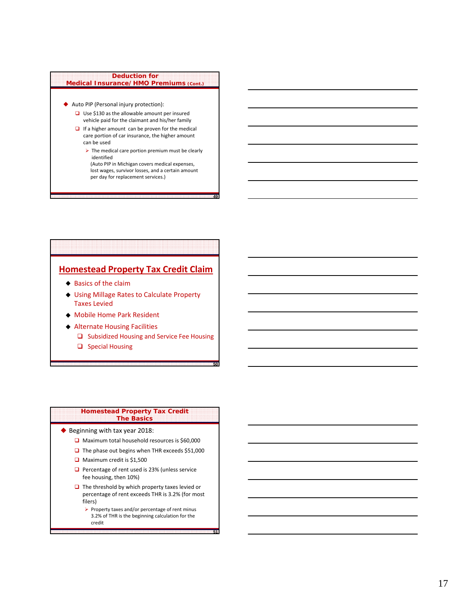# **Deduction for Medical Insurance/HMO Premiums (Cont.)**

- Auto PIP (Personal injury protection):
	- $\Box$  Use \$130 as the allowable amount per insured vehicle paid for the claimant and his/her family
	- $\Box$  If a higher amount can be proven for the medical care portion of car insurance, the higher amount can be used
		- $\triangleright$  The medical care portion premium must be clearly identified
		- (Auto PIP in Michigan covers medical expenses, lost wages, survivor losses, and a certain amount per day for replacement services.)

**49**

**50**

**51**

# **Homestead Property Tax Credit Claim**

- $\triangle$  Basics of the claim
- Using Millage Rates to Calculate Property Taxes Levied
- Mobile Home Park Resident
- Alternate Housing Facilities
	- □ Subsidized Housing and Service Fee Housing
	- $\Box$  Special Housing

#### **Homestead Property Tax Credit The Basics**

- ◆ Beginning with tax year 2018:
	- □ Maximum total household resources is \$60,000
	- $\Box$  The phase out begins when THR exceeds \$51,000
	- $\Box$  Maximum credit is \$1,500
	- $\Box$  Percentage of rent used is 23% (unless service fee housing, then 10%)
	- $\Box$  The threshold by which property taxes levied or percentage of rent exceeds THR is 3.2% (for most filers)
		- $\triangleright$  Property taxes and/or percentage of rent minus 3.2% of THR is the beginning calculation for the credit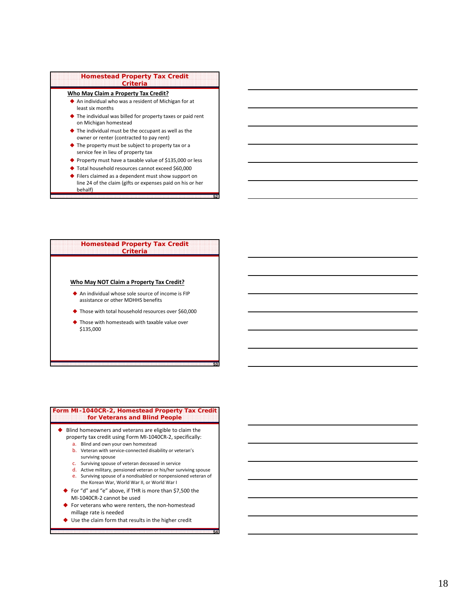#### **Homestead Property Tax Credit Criteria**

# **Who May Claim a Property Tax Credit?**

- An individual who was a resident of Michigan for at least six months
- ◆ The individual was billed for property taxes or paid rent on Michigan homestead
- The individual must be the occupant as well as the owner or renter (contracted to pay rent)
- ◆ The property must be subject to property tax or a service fee in lieu of property tax
- ◆ Property must have a taxable value of \$135,000 or less
- ◆ Total household resources cannot exceed \$60,000
- ◆ Filers claimed as a dependent must show support on line 24 of the claim (gifts or expenses paid on his or her behalf)

**52**

**53**

**54**

#### **Homestead Property Tax Credit Criteria**

## **Who May NOT Claim a Property Tax Credit?**

- An individual whose sole source of income is FIP assistance or other MDHHS benefits
- Those with total household resources over \$60,000
- Those with homesteads with taxable value over \$135,000

## **Form MI-1040CR-2, Homestead Property Tax Credit for Veterans and Blind People**

- ◆ Blind homeowners and veterans are eligible to claim the property tax credit using Form MI‐1040CR‐2, specifically:
	- a. Blind and own your own homestead
	- b. Veteran with service-connected disability or veteran's surviving spouse
	- c. Surviving spouse of veteran deceased in service
	- d. Active military, pensioned veteran or his/her surviving spouse
	- e. Surviving spouse of a nondisabled or nonpensioned veteran of the Korean War, World War II, or World War I
	- ◆ For "d" and "e" above, if THR is more than \$7,500 the
	- MI‐1040CR‐2 cannot be used
	- For veterans who were renters, the non‐homestead millage rate is needed
	- ◆ Use the claim form that results in the higher credit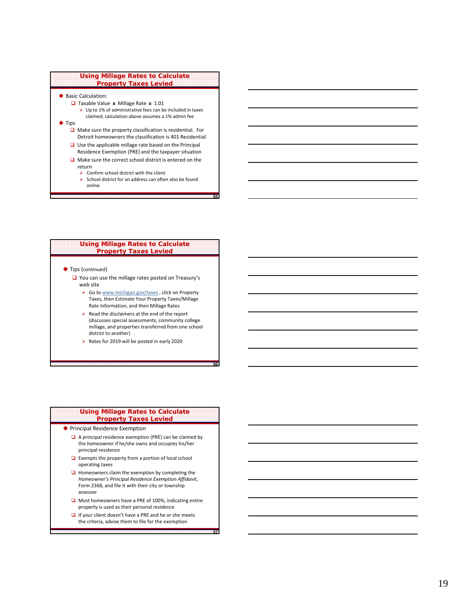

- ◆ Basic Calculation:
	- **a** Taxable Value **x** Millage Rate **x** 1.01
		- $\triangleright$  Up to 1% of administrative fees can be included in taxes claimed; calculation above assumes a 1% admin fee

# $\blacklozenge$  Tips

- $\Box$  Make sure the property classification is residential. For Detroit homeowners the classification is 401 Residential.
- □ Use the applicable millage rate based on the Principal
- Residence Exemption (PRE) and the taxpayer situation  $\Box$  Make sure the correct school district is entered on the return
	- $\triangleright$  Confirm school district with the client
	- $\triangleright$  School district for an address can often also be found online

**55**

**56**

**57**

## **Using Millage Rates to Calculate Property Taxes Levied**

#### ◆ Tips (continued)

- You can use the millage rates posted on Treasury's web site
	- ▶ Go to www.michigan.gov/taxes, click on Property Taxes, then Estimate Your Property Taxes/Millage Rate Information, and then Millage Rates
	- $\triangleright$  Read the disclaimers at the end of the report (discusses special assessments, community college millage, and properties transferred from one school district to another)
	- $\triangleright$  Rates for 2019 will be posted in early 2020

# **Using Millage Rates to Calculate Property Taxes Levied** ◆ Principal Residence Exemption

- $\Box$  A principal residence exemption (PRE) can be claimed by the homeowner if he/she owns and occupies his/her principal residence
- $\Box$  Exempts the property from a portion of local school operating taxes
- $\Box$  Homeowners claim the exemption by completing the *Homeowner's Principal Residence Exemption Affidavit* , Form 2368, and file it with their city or township assessor
- Most homeowners have a PRE of 100%, indicating entire property is used as their personal residence
- $\Box$  If your client doesn't have a PRE and he or she meets the criteria, advise them to file for the exemption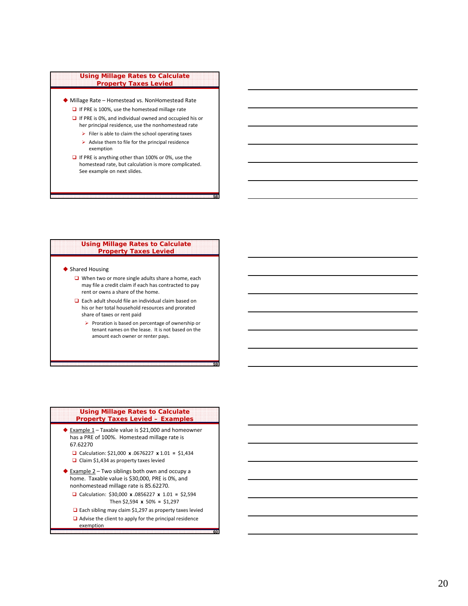#### **Using Millage Rates to Calculate Property Taxes Levied**

- Millage Rate Homestead vs. NonHomestead Rate  $\Box$  If PRE is 100%, use the homestead millage rate
	- $\Box$  If PRE is 0%, and individual owned and occupied his or her principal residence, use the nonhomestead rate
		- $\triangleright$  Filer is able to claim the school operating taxes
		- $\triangleright$  Advise them to file for the principal residence exemption
	- $\Box$  If PRE is anything other than 100% or 0%, use the homestead rate, but calculation is more complicated. See example on next slides.

**58**

**59**

**60**

## **Using Millage Rates to Calculate Property Taxes Levied**

## ◆ Shared Housing

- When two or more single adults share a home, each may file a credit claim if each has contracted to pay rent or owns a share of the home.
- □ Each adult should file an individual claim based on his or her total household resources and prorated share of taxes or rent paid
	- $\triangleright$  Proration is based on percentage of ownership or tenant names on the lease. It is not based on the amount each owner or renter pays.

# **Using Millage Rates to Calculate Property Taxes Levied – Examples**

- $\triangle$  Example 1 Taxable value is \$21,000 and homeowner has a PRE of 100%. Homestead millage rate is 67.62270
	- Calculation: \$21,000 **x** .0676227 **x** 1.01 **=** \$1,434 Claim \$1,434 as property taxes levied
- ◆ Example 2 Two siblings both own and occupy a home. Taxable value is \$30,000, PRE is 0%, and nonhomestead millage rate is 85.62270.
	- Calculation: \$30,000 **x** .0856227 **x** 1.01 **=** \$2,594 Then \$2,594 **x** 50% **=** \$1,297
	- □ Each sibling may claim \$1,297 as property taxes levied
	- $\Box$  Advise the client to apply for the principal residence exemption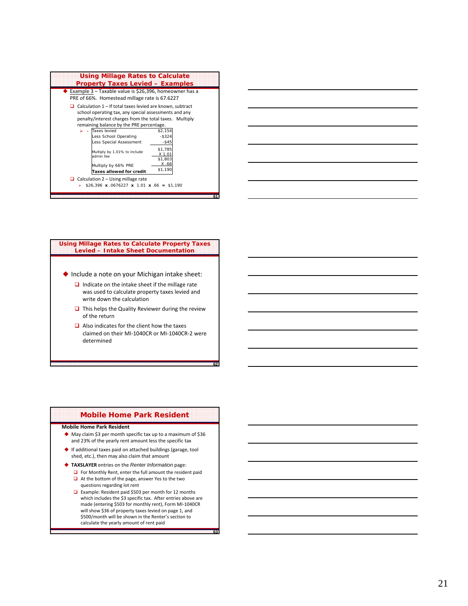| Using Millage Rates to Calculate<br><b>Property Taxes Levied - Examples</b>                                                                                                                                                      |                                  |  |  |
|----------------------------------------------------------------------------------------------------------------------------------------------------------------------------------------------------------------------------------|----------------------------------|--|--|
| Example 3 – Taxable value is \$26,396, homeowner has a<br>PRE of 66%. Homestead millage rate is 67.6227                                                                                                                          |                                  |  |  |
| $\Box$ Calculation 1 – If total taxes levied are known, subtract<br>school operating tax, any special assessments and any<br>penalty/interest charges from the total taxes. Multiply<br>remaining balance by the PRE percentage. |                                  |  |  |
| Taxes levied<br>↘<br>Less School Operating<br>Less Special Assessment                                                                                                                                                            | \$2,154<br>$-$ \$324<br>$-$ \$45 |  |  |
| Multiply by 1.01% to include<br>admin fee                                                                                                                                                                                        | \$1,785<br>X 1.01<br>\$1,803     |  |  |
| Multiply by 66% PRE<br>Taxes allowed for credit                                                                                                                                                                                  | X.66<br>\$1,190                  |  |  |
| $\Box$ Calculation 2 – Using millage rate<br>\$26,396 x .0676227 x 1.01 x .66 = \$1,190<br>⋗<br>61                                                                                                                               |                                  |  |  |



## **Using Millage Rates to Calculate Property Taxes Levied – Intake Sheet Documentation**

- ◆ Include a note on your Michigan intake sheet:
	- $\Box$  Indicate on the intake sheet if the millage rate was used to calculate property taxes levied and write down the calculation
	- $\Box$  This helps the Quality Reviewer during the review of the return
	- $\Box$  Also indicates for the client how the taxes claimed on their MI ‐1040CR or MI ‐1040CR ‐ 2 were determined

**62**

**63**

# **Mobile Home Park Resident**

# **Mobile Home Park Resident**

- ◆ May claim \$3 per month specific tax up to a maximum of \$36 and 23% of the yearly rent amount less the specific tax
- If additional taxes paid on attached buildings (garage, tool shed, etc.), then may also claim that amount
- **TAXSLAYER** entries on the *Renter Information* page: **D** For Monthly Rent, enter the full amount the resident paid
	- $\Box$  At the bottom of the page, answer Yes to the two questions regarding lot rent
	- Example: Resident paid \$503 per month for 12 months which includes the \$3 specific tax. After entries above are made (entering \$503 for monthly rent), Form MI ‐1040CR will show \$36 of property taxes levied on page 1, and \$500/month will be shown in the Renter's section to calculate the yearly amount of rent paid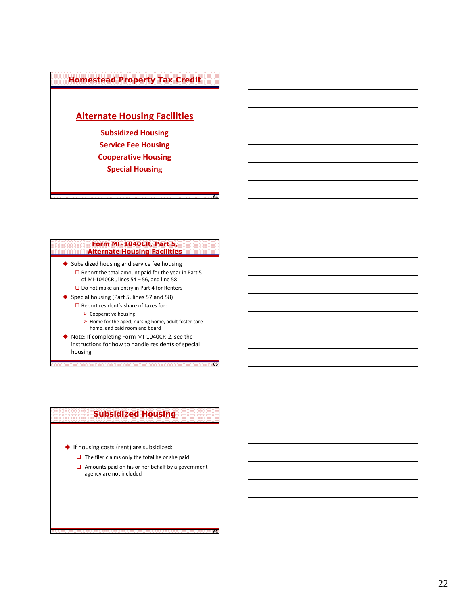# **Homestead Property Tax Credit**

# **Alternate Housing Facilities**

**Subsidized Housing Service Fee Housing Cooperative Housing Special Housing**

# **Form MI-1040CR, Part 5, Alternate Housing Facilities**

**64**

**65**

**66**

- ◆ Subsidized housing and service fee housing  $\Box$  Report the total amount paid for the year in Part 5 of MI‐1040CR , lines 54 – 56, and line 58 □ Do not make an entry in Part 4 for Renters
- ◆ Special housing (Part 5, lines 57 and 58)
	- $\Box$  Report resident's share of taxes for:
		- $\triangleright$  Cooperative housing
		- $\triangleright$  Home for the aged, nursing home, adult foster care home, and paid room and board
- ◆ Note: If completing Form MI-1040CR-2, see the instructions for how to handle residents of special housing

# **Subsidized Housing**

- ◆ If housing costs (rent) are subsidized:
	- $\Box$  The filer claims only the total he or she paid
	- $\Box$  Amounts paid on his or her behalf by a government agency are not included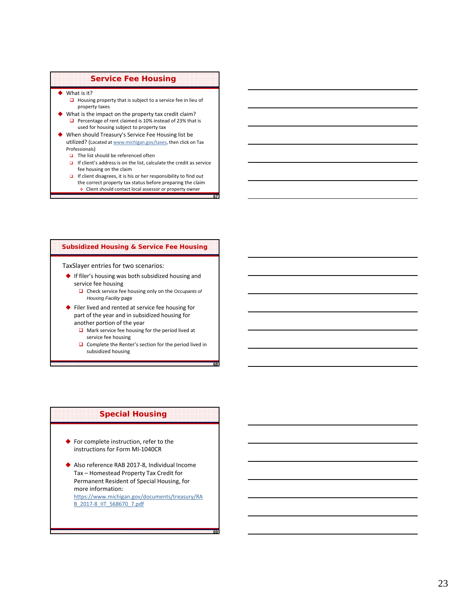# **Service Fee Housing**

- ◆ What is it?
	- $\Box$  Housing property that is subject to a service fee in lieu of property taxes
- What is the impact on the property tax credit claim? Percentage of rent claimed is 10% instead of 23% that is used for housing subject to property tax
- When should Treasury's Service Fee Housing list be utilized? (Located at www.michigan.gov/taxes, then click on Tax Professionals)
	- $\Box$  The list should be referenced often
	- $\Box$  If client's address is on the list, calculate the credit as service fee housing on the claim

**67**

**68**

**69**

If client disagrees, it is his or her responsibility to find out the correct property tax status before preparing the claim Client should contact local assessor or property owner

# **Subsidized Housing & Service Fee Housing**

TaxSlayer entries for two scenarios:

- If filer's housing was both subsidized housing and service fee housing
	- Check service fee housing only on the *Occupants of Housing Facility* page
- ◆ Filer lived and rented at service fee housing for part of the year and in subsidized housing for another portion of the year
	- $\Box$  Mark service fee housing for the period lived at service fee housing
	- $\Box$  Complete the Renter's section for the period lived in subsidized housing

# **Special Housing**

- ◆ For complete instruction, refer to the instructions for Form MI‐1040CR
- ◆ Also reference RAB 2017-8, Individual Income Tax – Homestead Property Tax Credit for Permanent Resident of Special Housing, for more information: https://www.michigan.gov/documents/treasury/RA B\_2017‐8\_IIT\_568670\_7.pdf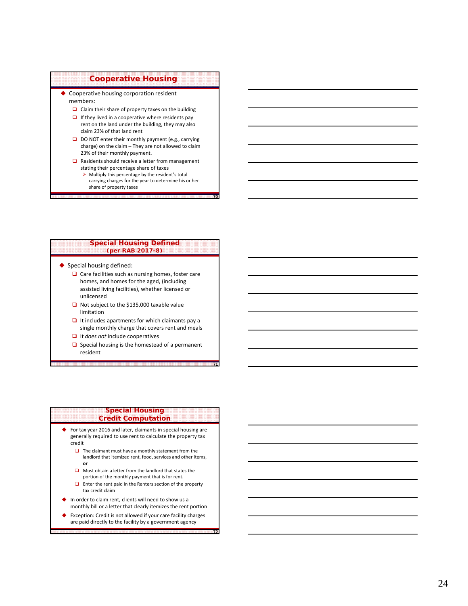# **Cooperative Housing**

◆ Cooperative housing corporation resident members:

- $\Box$  Claim their share of property taxes on the building
- $\Box$  If they lived in a cooperative where residents pay rent on the land under the building, they may also claim 23% of that land rent
- $\Box$  DO NOT enter their monthly payment (e.g., carrying charge) on the claim – They are not allowed to claim 23% of their monthly payment.
- □ Residents should receive a letter from management stating their percentage share of taxes
	- $\triangleright$  Multiply this percentage by the resident's total carrying charges for the year to determine his or her share of property taxes

**70**

**71**

**72**

### **Special Housing Defined (per RAB 2017-8)**

- ◆ Special housing defined:
	- $\Box$  Care facilities such as nursing homes, foster care homes, and homes for the aged, (including assisted living facilities), whether licensed or unlicensed
	- Not subject to the \$135,000 taxable value limitation
	- $\Box$  It includes apartments for which claimants pay a single monthly charge that covers rent and meals
	- It *does not* include cooperatives
	- $\Box$  Special housing is the homestead of a permanent resident

#### **Special Housing Credit Computation**

- ◆ For tax year 2016 and later, claimants in special housing are generally required to use rent to calculate the property tax credit
	- $\Box$  The claimant must have a monthly statement from the landlord that itemized rent, food, services and other items, **or**
	- **Q** Must obtain a letter from the landlord that states the portion of the monthly payment that is for rent.
	- $\Box$  Enter the rent paid in the Renters section of the property tax credit claim
- ◆ In order to claim rent, clients will need to show us a monthly bill or a letter that clearly itemizes the rent portion
- Exception: Credit is not allowed if your care facility charges are paid directly to the facility by a government agency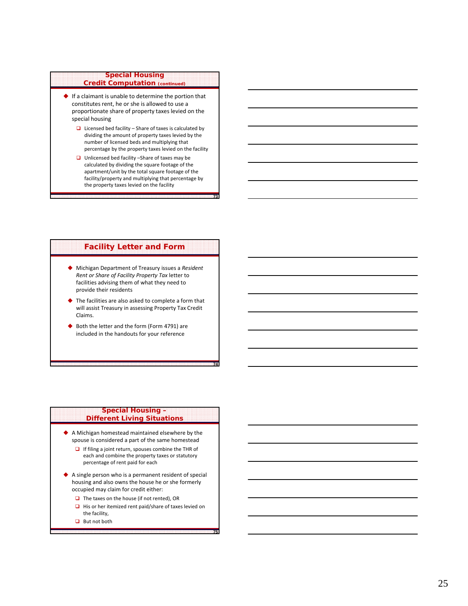# **Special Housing Credit Computation (continued)**

- $\blacklozenge$  If a claimant is unable to determine the portion that constitutes rent, he or she is allowed to use a proportionate share of property taxes levied on the special housing
	- $\Box$  Licensed bed facility Share of taxes is calculated by dividing the amount of property taxes levied by the number of licensed beds and multiplying that percentage by the property taxes levied on the facility
	- $\Box$  Unlicensed bed facility -Share of taxes may be calculated by dividing the square footage of the apartment/unit by the total square footage of the facility/property and multiplying that percentage by the property taxes levied on the facility

**73**

**74**

**75**

# **Facility Letter and Form**

- Michigan Department of Treasury issues a *Resident Rent or Share of Facility Property Tax* letter to facilities advising them of what they need to provide their residents
- ◆ The facilities are also asked to complete a form that will assist Treasury in assessing Property Tax Credit Claims.
- ◆ Both the letter and the form (Form 4791) are included in the handouts for your reference

## **Special Housing – Different Living Situations**

- A Michigan homestead maintained elsewhere by the spouse is considered a part of the same homestead
	- $\Box$  If filing a joint return, spouses combine the THR of each and combine the property taxes or statutory percentage of rent paid for each
- ٠ A single person who is a permanent resident of special housing and also owns the house he or she formerly occupied may claim for credit either:
	- $\Box$  The taxes on the house (if not rented), OR
	- $\Box$  His or her itemized rent paid/share of taxes levied on the facility,
	- $\Box$  But not both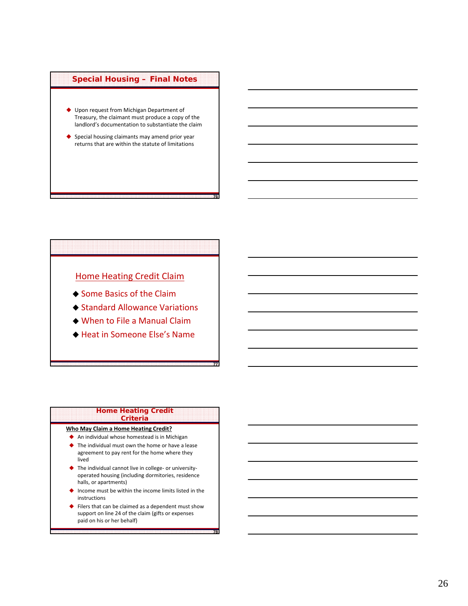# **Special Housing – Final Notes**

- Upon request from Michigan Department of Treasury, the claimant must produce a copy of the landlord's documentation to substantiate the claim
- ◆ Special housing claimants may amend prior year returns that are within the statute of limitations

**76**

**77**

**78**

# Home Heating Credit Claim

- ◆ Some Basics of the Claim
- ◆ Standard Allowance Variations
- When to File a Manual Claim
- Heat in Someone Else's Name

#### **Home Heating Credit Criteria**

# **Who May Claim a Home Heating Credit?**

- An individual whose homestead is in Michigan
- ◆ The individual must own the home or have a lease agreement to pay rent for the home where they lived
- ◆ The individual cannot live in college- or universityoperated housing (including dormitories, residence halls, or apartments)
- ◆ Income must be within the income limits listed in the instructions
- Filers that can be claimed as a dependent must show support on line 24 of the claim (gifts or expenses paid on his or her behalf)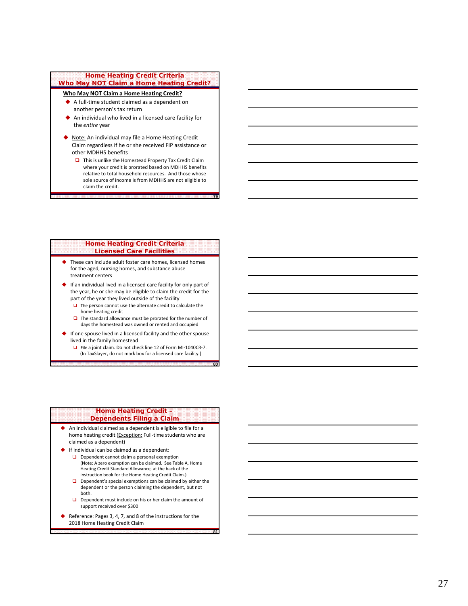## **Home Heating Credit Criteria Who May NOT Claim a Home Heating Credit?**

## **Who May NOT Claim a Home Heating Credit?**

- ◆ A full-time student claimed as a dependent on another person's tax return
- ◆ An individual who lived in a licensed care facility for the *entire* year
- ◆ Note: An individual may file a Home Heating Credit Claim regardless if he or she received FIP assistance or other MDHHS benefits
	- $\Box$  This is unlike the Homestead Property Tax Credit Claim where your credit is prorated based on MDHHS benefits relative to total household resources. And those whose sole source of income is from MDHHS are not eligible to claim the credit.

**79**

**80**

**81**

#### **Home Heating Credit Criteria Licensed Care Facilities**

- ◆ These can include adult foster care homes, licensed homes for the aged, nursing homes, and substance abuse treatment centers
- ◆ If an individual lived in a licensed care facility for only part of the year, he or she may be eligible to claim the credit for the part of the year they lived outside of the facility
	- $\Box$  The person cannot use the alternate credit to calculate the home heating credit
	- $\Box$  The standard allowance must be prorated for the number of days the homestead was owned or rented and occupied
- ◆ If one spouse lived in a licensed facility and the other spouse lived in the family homestead
	- □ File a joint claim. Do not check line 12 of Form MI-1040CR-7. (In TaxSlayer, do not mark box for a licensed care facility.)

#### **Home Heating Credit – Dependents Filing a Claim**

- ◆ An individual claimed as a dependent is eligible to file for a home heating credit (Exception: Full-time students who are claimed as a dependent)
- ◆ If individual can be claimed as a dependent:
	- **D** Dependent cannot claim a personal exemption (Note: A zero exemption can be claimed. See Table A, Home Heating Credit Standard Allowance, at the back of the instruction book for the Home Heating Credit Claim.)
	- $\Box$  Dependent's special exemptions can be claimed by either the dependent or the person claiming the dependent, but not both.
	- $\Box$  Dependent must include on his or her claim the amount of support received over \$300
- ◆ Reference: Pages 3, 4, 7, and 8 of the instructions for the 2018 Home Heating Credit Claim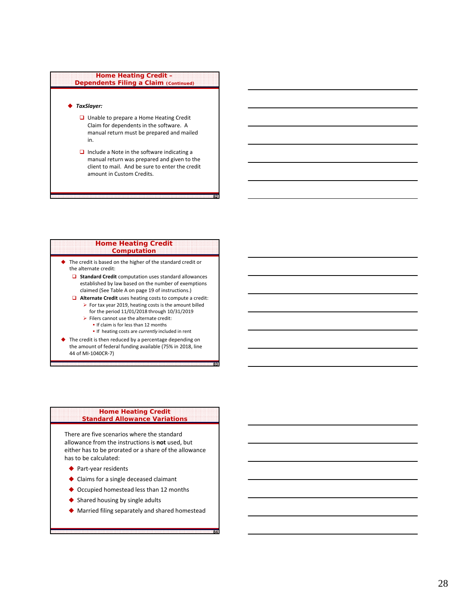## **Home Heating Credit – Dependents Filing a Claim (Continued)**

# *TaxSlayer:*

- □ Unable to prepare a Home Heating Credit Claim for dependents in the software. A manual return must be prepared and mailed in.
- $\Box$  Include a Note in the software indicating a manual return was prepared and given to the client to mail. And be sure to enter the credit amount in Custom Credits.

**82**

**83**

**84**

## **Home Heating Credit Computation**

- The credit is based on the higher of the standard credit or the alternate credit:
	- $\Box$  **Standard Credit** computation uses standard allowances established by law based on the number of exemptions claimed (See Table A on page 19 of instructions.)
	- **Alternate Credit** uses heating costs to compute a credit:  $\triangleright$  For tax year 2019, heating costs is the amount billed
		- for the period 11/01/2018 through 10/31/2019  $\triangleright$  Filers cannot use the alternate credit:
			- **If claim is for less than 12 months**
			- If heating costs are *currently* included in rent
- The credit is then reduced by a percentage depending on the amount of federal funding available (75% in 2018, line 44 of MI‐1040CR‐7)

# **Home Heating Credit Standard Allowance Variations**

There are five scenarios where the standard allowance from the instructions is **not** used, but either has to be prorated or a share of the allowance has to be calculated:

- ◆ Part-year residents
- Claims for a single deceased claimant
- ◆ Occupied homestead less than 12 months
- ◆ Shared housing by single adults
- Married filing separately and shared homestead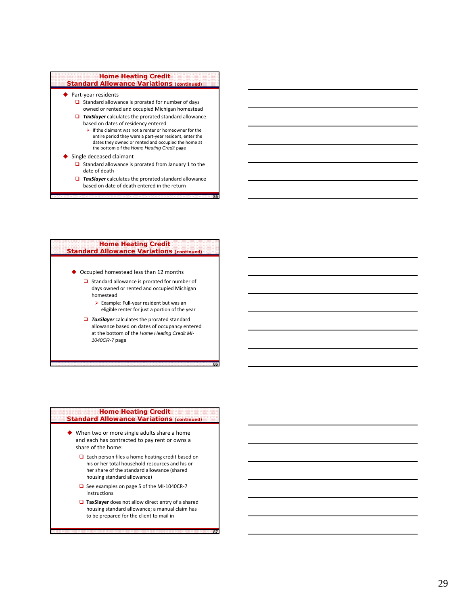# **Home Heating Credit Standard Allowance Variations (continued)**

- ◆ Part-year residents
	- $\Box$  Standard allowance is prorated for number of days owned or rented and occupied Michigan homestead
	- *TaxSlayer* calculates the prorated standard allowance based on dates of residency entered
		- $\triangleright$  If the claimant was not a renter or homeowner for the entire period they were a part ‐year resident, enter the dates they owned or rented and occupied the home at the bottom o f the *Home Heating Credit* page

#### ◆ Single deceased claimant

- $\Box$  Standard allowance is prorated from January 1 to the date of death
- *TaxSlayer* calculates the prorated standard allowance based on date of death entered in the return

**85**

**86**

**87**

### **Home Heating Credit Standard Allowance Variations (continued)**

- ◆ Occupied homestead less than 12 months
	- $\Box$  Standard allowance is prorated for number of days owned or rented and occupied Michigan homestead
		- Example: Full ‐year resident but was an eligible renter for just a portion of the year
	- *TaxSlayer* calculates the prorated standard allowance based on dates of occupancy entered at the bottom of the *Home Heating Credit MI-1040CR-7* page

## **Home Heating Credit Standard Allowance Variations (continued)**

- ◆ When two or more single adults share a home and each has contracted to pay rent or owns a share of the home:
	- □ Each person files a home heating credit based on his or her total household resources and his or her share of the standard allowance (shared housing standard allowance)
	- □ See examples on page 5 of the MI-1040CR-7 instructions
	- **TaxSlayer** does not allow direct entry of a shared housing standard allowance; a manual claim has to be prepared for the client to mail in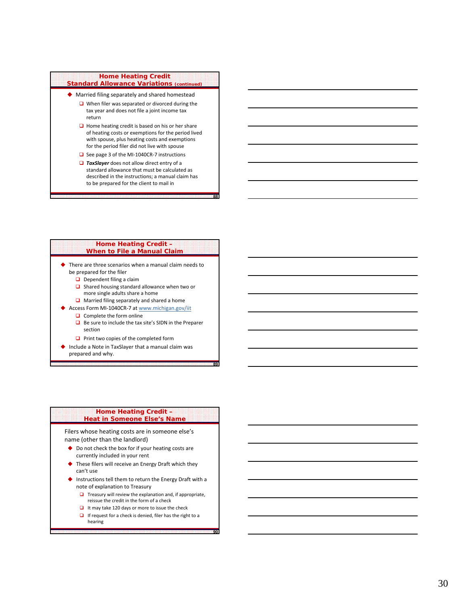# **Home Heating Credit Standard Allowance Variations (continued)**

- Married filing separately and shared homestead
	- $\Box$  When filer was separated or divorced during the tax year and does not file a joint income tax return
	- $\Box$  Home heating credit is based on his or her share of heating costs or exemptions for the period lived with spouse, plus heating costs and exemptions for the period filer did not live with spouse
	- □ See page 3 of the MI-1040CR-7 instructions
	- **TaxSlayer** does not allow direct entry of a standard allowance that must be calculated as described in the instructions; a manual claim has to be prepared for the client to mail in

**88**

**89**

**90**

### **Home Heating Credit – When to File a Manual Claim**

- ◆ There are three scenarios when a manual claim needs to be prepared for the filer
	- $\Box$  Dependent filing a claim
	- $\Box$  Shared housing standard allowance when two or more single adults share a home
	- **■** Married filing separately and shared a home
- ◆ Access Form MI-1040CR-7 at www.michigan.gov/iit  $\Box$  Complete the form online
	- $\Box$  Be sure to include the tax site's SIDN in the Preparer section
	- $\Box$  Print two copies of the completed form
- ◆ Include a Note in TaxSlayer that a manual claim was prepared and why.

## **Home Heating Credit – Heat in Someone Else's Name**

Filers whose heating costs are in someone else's name (other than the landlord)

- ◆ Do not check the box for if your heating costs are currently included in your rent
- These filers will receive an Energy Draft which they can't use
- ◆ Instructions tell them to return the Energy Draft with a note of explanation to Treasury
	- $\Box$  Treasury will review the explanation and, if appropriate, reissue the credit in the form of a check
	- $\Box$  It may take 120 days or more to issue the check
	- $\Box$  If request for a check is denied, filer has the right to a hearing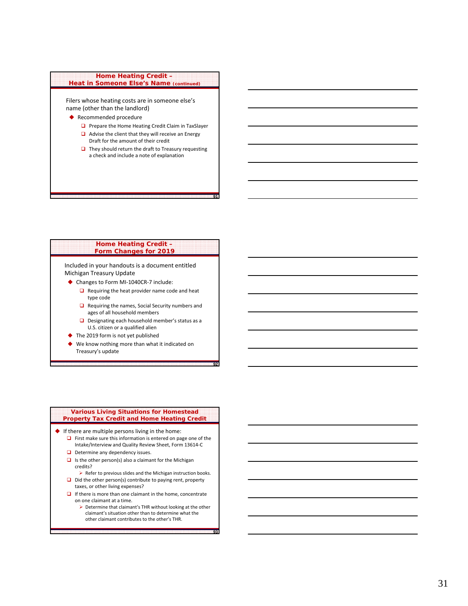# **Home Heating Credit – Heat in Someone Else's Name (continued)**

Filers whose heating costs are in someone else's name (other than the landlord)

- ◆ Recommended procedure
	- $\Box$  Prepare the Home Heating Credit Claim in TaxSlayer
	- $\Box$  Advise the client that they will receive an Energy
	- Draft for the amount of their credit  $\Box$  They should return the draft to Treasury requesting
	- a check and include a note of explanation

**91**

**92**

**93**

### **Home Heating Credit – Form Changes for 2019**

Included in your handouts is a document entitled Michigan Treasury Update

- ◆ Changes to Form MI-1040CR-7 include:
	- $\Box$  Requiring the heat provider name code and heat type code
	- $\Box$  Requiring the names, Social Security numbers and ages of all household members
	- D Designating each household member's status as a U.S. citizen or a qualified alien
- ◆ The 2019 form is not yet published
- We know nothing more than what it indicated on Treasury's update

## **Various Living Situations for Homestead Property Tax Credit and Home Heating Credit**

- $\blacklozenge$  If there are multiple persons living in the home:
	- $\Box$  First make sure this information is entered on page one of the Intake/Interview and Quality Review Sheet, Form 13614‐C
	- Determine any dependency issues.
	- $\Box$  Is the other person(s) also a claimant for the Michigan credits?
		- $\triangleright$  Refer to previous slides and the Michigan instruction books.
	- $\Box$  Did the other person(s) contribute to paying rent, property taxes, or other living expenses?
	- $\Box$  If there is more than one claimant in the home, concentrate on one claimant at a time.
		- Determine that claimant's THR without looking at the other claimant's situation other than to determine what the other claimant contributes to the other's THR.